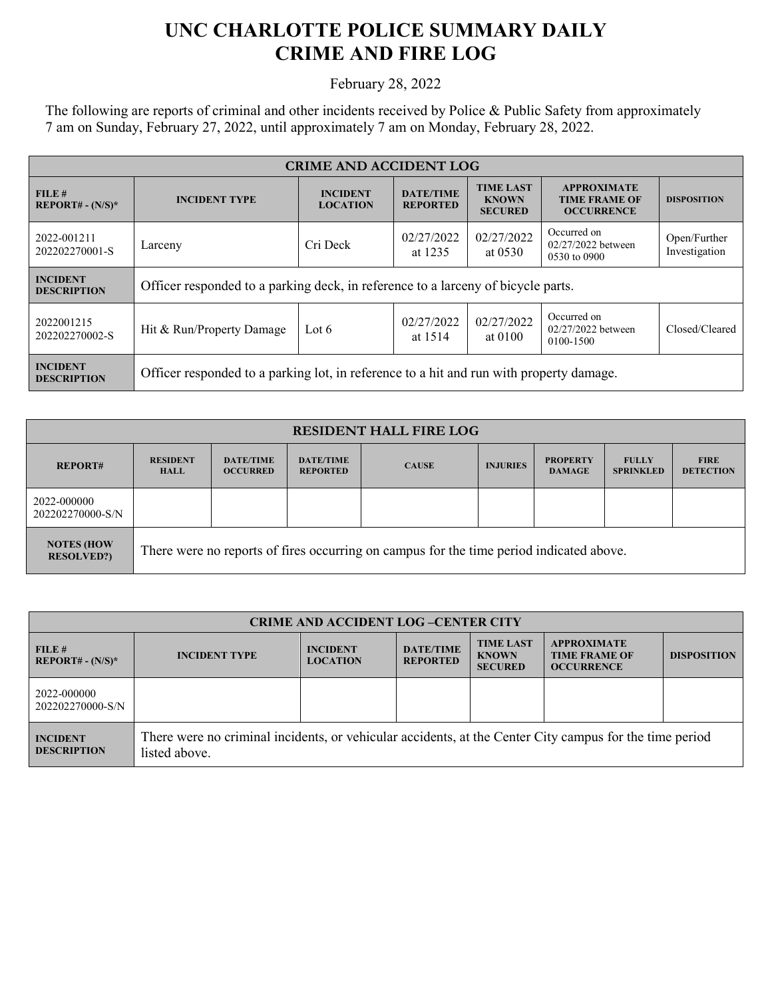## **UNC CHARLOTTE POLICE SUMMARY DAILY CRIME AND FIRE LOG**

February 28, 2022

The following are reports of criminal and other incidents received by Police & Public Safety from approximately 7 am on Sunday, February 27, 2022, until approximately 7 am on Monday, February 28, 2022.

| <b>CRIME AND ACCIDENT LOG</b>         |                                                                                         |                                    |                                     |                                                    |                                                                 |                               |
|---------------------------------------|-----------------------------------------------------------------------------------------|------------------------------------|-------------------------------------|----------------------------------------------------|-----------------------------------------------------------------|-------------------------------|
| FILE#<br>$REPORT# - (N/S)*$           | <b>INCIDENT TYPE</b>                                                                    | <b>INCIDENT</b><br><b>LOCATION</b> | <b>DATE/TIME</b><br><b>REPORTED</b> | <b>TIME LAST</b><br><b>KNOWN</b><br><b>SECURED</b> | <b>APPROXIMATE</b><br><b>TIME FRAME OF</b><br><b>OCCURRENCE</b> | <b>DISPOSITION</b>            |
| 2022-001211<br>202202270001-S         | Larceny                                                                                 | Cri Deck                           | 02/27/2022<br>at 1235               | 02/27/2022<br>at $0530$                            | Occurred on<br>$02/27/2022$ between<br>0530 to 0900             | Open/Further<br>Investigation |
| <b>INCIDENT</b><br><b>DESCRIPTION</b> | Officer responded to a parking deck, in reference to a larceny of bicycle parts.        |                                    |                                     |                                                    |                                                                 |                               |
| 2022001215<br>202202270002-S          | Hit & Run/Property Damage                                                               | Lot 6                              | 02/27/2022<br>at 1514               | 02/27/2022<br>at 0100                              | Occurred on<br>$02/27/2022$ between<br>0100-1500                | Closed/Cleared                |
| <b>INCIDENT</b><br><b>DESCRIPTION</b> | Officer responded to a parking lot, in reference to a hit and run with property damage. |                                    |                                     |                                                    |                                                                 |                               |

| <b>RESIDENT HALL FIRE LOG</b>           |                                                                                         |                                     |                                     |              |                 |                                  |                                  |                                 |
|-----------------------------------------|-----------------------------------------------------------------------------------------|-------------------------------------|-------------------------------------|--------------|-----------------|----------------------------------|----------------------------------|---------------------------------|
| <b>REPORT#</b>                          | <b>RESIDENT</b><br><b>HALL</b>                                                          | <b>DATE/TIME</b><br><b>OCCURRED</b> | <b>DATE/TIME</b><br><b>REPORTED</b> | <b>CAUSE</b> | <b>INJURIES</b> | <b>PROPERTY</b><br><b>DAMAGE</b> | <b>FULLY</b><br><b>SPRINKLED</b> | <b>FIRE</b><br><b>DETECTION</b> |
| 2022-000000<br>202202270000-S/N         |                                                                                         |                                     |                                     |              |                 |                                  |                                  |                                 |
| <b>NOTES (HOW)</b><br><b>RESOLVED?)</b> | There were no reports of fires occurring on campus for the time period indicated above. |                                     |                                     |              |                 |                                  |                                  |                                 |

| <b>CRIME AND ACCIDENT LOG-CENTER CITY</b> |                                                                                                                          |                                    |                                     |                                                    |                                                                 |                    |  |
|-------------------------------------------|--------------------------------------------------------------------------------------------------------------------------|------------------------------------|-------------------------------------|----------------------------------------------------|-----------------------------------------------------------------|--------------------|--|
| FILE#<br>$REPORT# - (N/S)*$               | <b>INCIDENT TYPE</b>                                                                                                     | <b>INCIDENT</b><br><b>LOCATION</b> | <b>DATE/TIME</b><br><b>REPORTED</b> | <b>TIME LAST</b><br><b>KNOWN</b><br><b>SECURED</b> | <b>APPROXIMATE</b><br><b>TIME FRAME OF</b><br><b>OCCURRENCE</b> | <b>DISPOSITION</b> |  |
| 2022-000000<br>202202270000-S/N           |                                                                                                                          |                                    |                                     |                                                    |                                                                 |                    |  |
| <b>INCIDENT</b><br><b>DESCRIPTION</b>     | There were no criminal incidents, or vehicular accidents, at the Center City campus for the time period<br>listed above. |                                    |                                     |                                                    |                                                                 |                    |  |